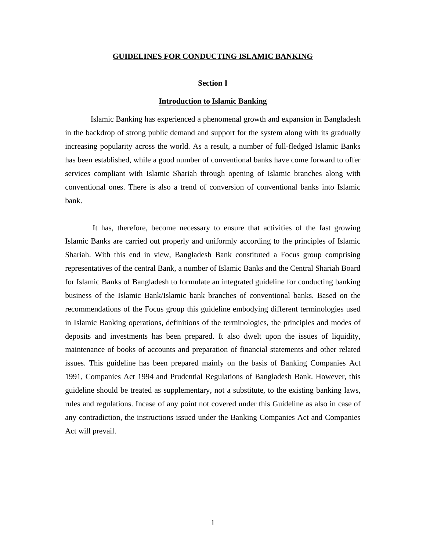#### **GUIDELINES FOR CONDUCTING ISLAMIC BANKING**

#### **Section I**

#### **Introduction to Islamic Banking**

 Islamic Banking has experienced a phenomenal growth and expansion in Bangladesh in the backdrop of strong public demand and support for the system along with its gradually increasing popularity across the world. As a result, a number of full-fledged Islamic Banks has been established, while a good number of conventional banks have come forward to offer services compliant with Islamic Shariah through opening of Islamic branches along with conventional ones. There is also a trend of conversion of conventional banks into Islamic bank.

 It has, therefore, become necessary to ensure that activities of the fast growing Islamic Banks are carried out properly and uniformly according to the principles of Islamic Shariah. With this end in view, Bangladesh Bank constituted a Focus group comprising representatives of the central Bank, a number of Islamic Banks and the Central Shariah Board for Islamic Banks of Bangladesh to formulate an integrated guideline for conducting banking business of the Islamic Bank/Islamic bank branches of conventional banks. Based on the recommendations of the Focus group this guideline embodying different terminologies used in Islamic Banking operations, definitions of the terminologies, the principles and modes of deposits and investments has been prepared. It also dwelt upon the issues of liquidity, maintenance of books of accounts and preparation of financial statements and other related issues. This guideline has been prepared mainly on the basis of Banking Companies Act 1991, Companies Act 1994 and Prudential Regulations of Bangladesh Bank. However, this guideline should be treated as supplementary, not a substitute, to the existing banking laws, rules and regulations. Incase of any point not covered under this Guideline as also in case of any contradiction, the instructions issued under the Banking Companies Act and Companies Act will prevail.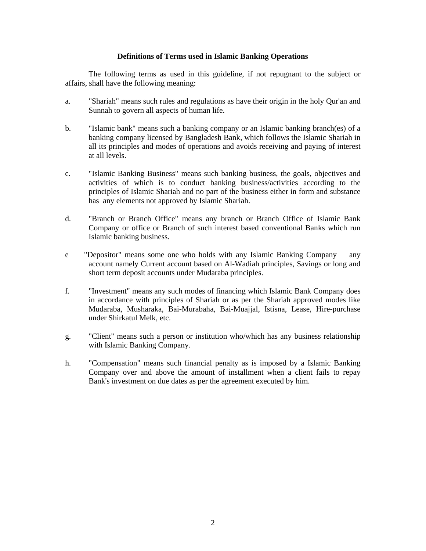#### **Definitions of Terms used in Islamic Banking Operations**

 The following terms as used in this guideline, if not repugnant to the subject or affairs, shall have the following meaning:

- a. "Shariah" means such rules and regulations as have their origin in the holy Qur'an and Sunnah to govern all aspects of human life.
- b. "Islamic bank" means such a banking company or an Islamic banking branch(es) of a banking company licensed by Bangladesh Bank, which follows the Islamic Shariah in all its principles and modes of operations and avoids receiving and paying of interest at all levels.
- c. "Islamic Banking Business" means such banking business, the goals, objectives and activities of which is to conduct banking business/activities according to the principles of Islamic Shariah and no part of the business either in form and substance has any elements not approved by Islamic Shariah.
- d. "Branch or Branch Office" means any branch or Branch Office of Islamic Bank Company or office or Branch of such interest based conventional Banks which run Islamic banking business.
- e "Depositor" means some one who holds with any Islamic Banking Company any account namely Current account based on Al-Wadiah principles, Savings or long and short term deposit accounts under Mudaraba principles.
- f. "Investment" means any such modes of financing which Islamic Bank Company does in accordance with principles of Shariah or as per the Shariah approved modes like Mudaraba, Musharaka, Bai-Murabaha, Bai-Muajjal, Istisna, Lease, Hire-purchase under Shirkatul Melk, etc.
- g. "Client" means such a person or institution who/which has any business relationship with Islamic Banking Company.
- h. "Compensation" means such financial penalty as is imposed by a Islamic Banking Company over and above the amount of installment when a client fails to repay Bank's investment on due dates as per the agreement executed by him.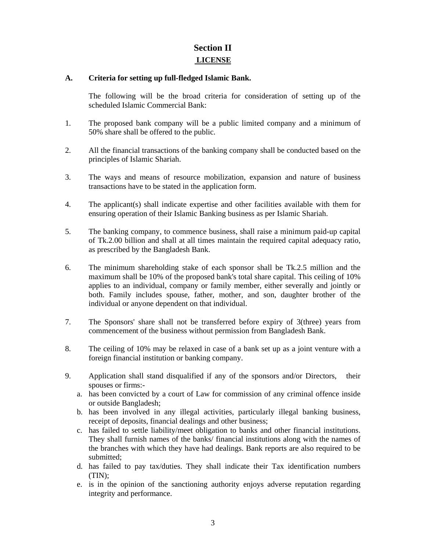# **Section II LICENSE**

# **A. Criteria for setting up full-fledged Islamic Bank.**

 The following will be the broad criteria for consideration of setting up of the scheduled Islamic Commercial Bank:

- 1. The proposed bank company will be a public limited company and a minimum of 50% share shall be offered to the public.
- 2. All the financial transactions of the banking company shall be conducted based on the principles of Islamic Shariah.
- 3. The ways and means of resource mobilization, expansion and nature of business transactions have to be stated in the application form.
- 4. The applicant(s) shall indicate expertise and other facilities available with them for ensuring operation of their Islamic Banking business as per Islamic Shariah.
- 5. The banking company, to commence business, shall raise a minimum paid-up capital of Tk.2.00 billion and shall at all times maintain the required capital adequacy ratio, as prescribed by the Bangladesh Bank.
- 6. The minimum shareholding stake of each sponsor shall be Tk.2.5 million and the maximum shall be 10% of the proposed bank's total share capital. This ceiling of 10% applies to an individual, company or family member, either severally and jointly or both. Family includes spouse, father, mother, and son, daughter brother of the individual or anyone dependent on that individual.
- 7. The Sponsors' share shall not be transferred before expiry of 3(three) years from commencement of the business without permission from Bangladesh Bank.
- 8. The ceiling of 10% may be relaxed in case of a bank set up as a joint venture with a foreign financial institution or banking company.
- 9. Application shall stand disqualified if any of the sponsors and/or Directors, their spouses or firms:
	- a. has been convicted by a court of Law for commission of any criminal offence inside or outside Bangladesh;
	- b. has been involved in any illegal activities, particularly illegal banking business, receipt of deposits, financial dealings and other business;
	- c. has failed to settle liability/meet obligation to banks and other financial institutions. They shall furnish names of the banks/ financial institutions along with the names of the branches with which they have had dealings. Bank reports are also required to be submitted;
	- d. has failed to pay tax/duties. They shall indicate their Tax identification numbers (TIN);
	- e. is in the opinion of the sanctioning authority enjoys adverse reputation regarding integrity and performance.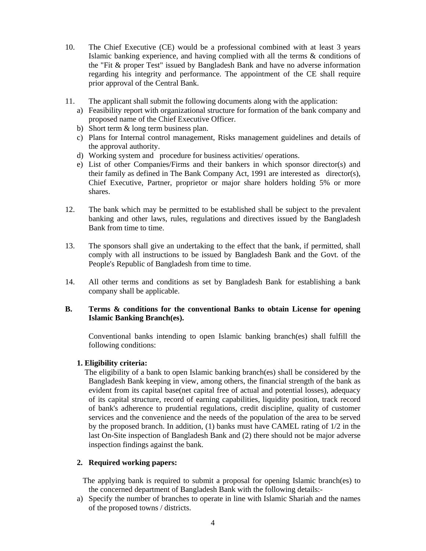- 10. The Chief Executive (CE) would be a professional combined with at least 3 years Islamic banking experience, and having complied with all the terms & conditions of the "Fit & proper Test" issued by Bangladesh Bank and have no adverse information regarding his integrity and performance. The appointment of the CE shall require prior approval of the Central Bank.
- 11. The applicant shall submit the following documents along with the application:
	- a) Feasibility report with organizational structure for formation of the bank company and proposed name of the Chief Executive Officer.
	- b) Short term & long term business plan.
	- c) Plans for Internal control management, Risks management guidelines and details of the approval authority.
	- d) Working system and procedure for business activities/ operations.
	- e) List of other Companies/Firms and their bankers in which sponsor director(s) and their family as defined in The Bank Company Act, 1991 are interested as director(s), Chief Executive, Partner, proprietor or major share holders holding 5% or more shares.
- 12. The bank which may be permitted to be established shall be subject to the prevalent banking and other laws, rules, regulations and directives issued by the Bangladesh Bank from time to time.
- 13. The sponsors shall give an undertaking to the effect that the bank, if permitted, shall comply with all instructions to be issued by Bangladesh Bank and the Govt. of the People's Republic of Bangladesh from time to time.
- 14. All other terms and conditions as set by Bangladesh Bank for establishing a bank company shall be applicable.

# **B. Terms & conditions for the conventional Banks to obtain License for opening Islamic Banking Branch(es).**

 Conventional banks intending to open Islamic banking branch(es) shall fulfill the following conditions:

# **1. Eligibility criteria:**

The eligibility of a bank to open Islamic banking branch(es) shall be considered by the Bangladesh Bank keeping in view, among others, the financial strength of the bank as evident from its capital base(net capital free of actual and potential losses), adequacy of its capital structure, record of earning capabilities, liquidity position, track record of bank's adherence to prudential regulations, credit discipline, quality of customer services and the convenience and the needs of the population of the area to be served by the proposed branch. In addition, (1) banks must have CAMEL rating of 1/2 in the last On-Site inspection of Bangladesh Bank and (2) there should not be major adverse inspection findings against the bank.

# **2. Required working papers:**

- The applying bank is required to submit a proposal for opening Islamic branch(es) to the concerned department of Bangladesh Bank with the following details:-
- a) Specify the number of branches to operate in line with Islamic Shariah and the names of the proposed towns / districts.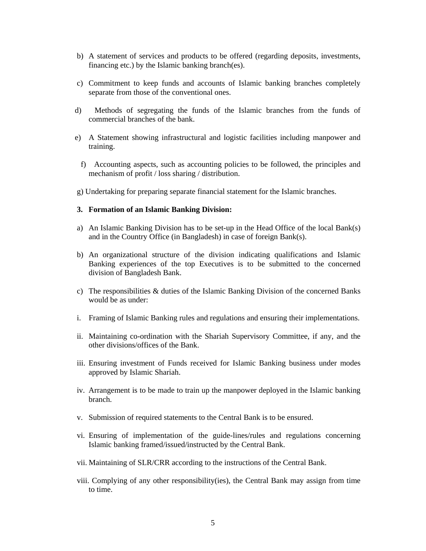- b) A statement of services and products to be offered (regarding deposits, investments, financing etc.) by the Islamic banking branch(es).
- c) Commitment to keep funds and accounts of Islamic banking branches completely separate from those of the conventional ones.
- d) Methods of segregating the funds of the Islamic branches from the funds of commercial branches of the bank.
- e) A Statement showing infrastructural and logistic facilities including manpower and training.
	- f) Accounting aspects, such as accounting policies to be followed, the principles and mechanism of profit / loss sharing / distribution.
- g) Undertaking for preparing separate financial statement for the Islamic branches.

#### **3. Formation of an Islamic Banking Division:**

- a) An Islamic Banking Division has to be set-up in the Head Office of the local Bank(s) and in the Country Office (in Bangladesh) in case of foreign Bank(s).
- b) An organizational structure of the division indicating qualifications and Islamic Banking experiences of the top Executives is to be submitted to the concerned division of Bangladesh Bank.
- c) The responsibilities  $\&$  duties of the Islamic Banking Division of the concerned Banks would be as under:
- i. Framing of Islamic Banking rules and regulations and ensuring their implementations.
- ii. Maintaining co-ordination with the Shariah Supervisory Committee, if any, and the other divisions/offices of the Bank.
- iii. Ensuring investment of Funds received for Islamic Banking business under modes approved by Islamic Shariah.
- iv. Arrangement is to be made to train up the manpower deployed in the Islamic banking branch.
- v. Submission of required statements to the Central Bank is to be ensured.
- vi. Ensuring of implementation of the guide-lines/rules and regulations concerning Islamic banking framed/issued/instructed by the Central Bank.
- vii. Maintaining of SLR/CRR according to the instructions of the Central Bank.
- viii. Complying of any other responsibility(ies), the Central Bank may assign from time to time.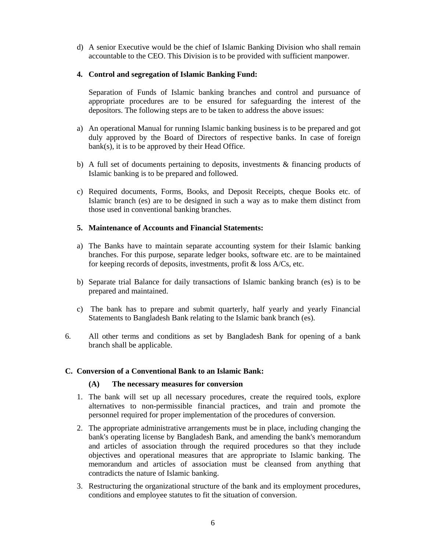d) A senior Executive would be the chief of Islamic Banking Division who shall remain accountable to the CEO. This Division is to be provided with sufficient manpower.

# **4. Control and segregation of Islamic Banking Fund:**

 Separation of Funds of Islamic banking branches and control and pursuance of appropriate procedures are to be ensured for safeguarding the interest of the depositors. The following steps are to be taken to address the above issues:

- a) An operational Manual for running Islamic banking business is to be prepared and got duly approved by the Board of Directors of respective banks. In case of foreign bank(s), it is to be approved by their Head Office.
- b) A full set of documents pertaining to deposits, investments & financing products of Islamic banking is to be prepared and followed.
- c) Required documents, Forms, Books, and Deposit Receipts, cheque Books etc. of Islamic branch (es) are to be designed in such a way as to make them distinct from those used in conventional banking branches.

# **5. Maintenance of Accounts and Financial Statements:**

- a) The Banks have to maintain separate accounting system for their Islamic banking branches. For this purpose, separate ledger books, software etc. are to be maintained for keeping records of deposits, investments, profit & loss A/Cs, etc.
- b) Separate trial Balance for daily transactions of Islamic banking branch (es) is to be prepared and maintained.
- c) The bank has to prepare and submit quarterly, half yearly and yearly Financial Statements to Bangladesh Bank relating to the Islamic bank branch (es).
- 6. All other terms and conditions as set by Bangladesh Bank for opening of a bank branch shall be applicable.

### **C. Conversion of a Conventional Bank to an Islamic Bank:**

### **(A) The necessary measures for conversion**

- 1. The bank will set up all necessary procedures, create the required tools, explore alternatives to non-permissible financial practices, and train and promote the personnel required for proper implementation of the procedures of conversion.
- 2. The appropriate administrative arrangements must be in place, including changing the bank's operating license by Bangladesh Bank, and amending the bank's memorandum and articles of association through the required procedures so that they include objectives and operational measures that are appropriate to Islamic banking. The memorandum and articles of association must be cleansed from anything that contradicts the nature of Islamic banking.
- 3. Restructuring the organizational structure of the bank and its employment procedures, conditions and employee statutes to fit the situation of conversion.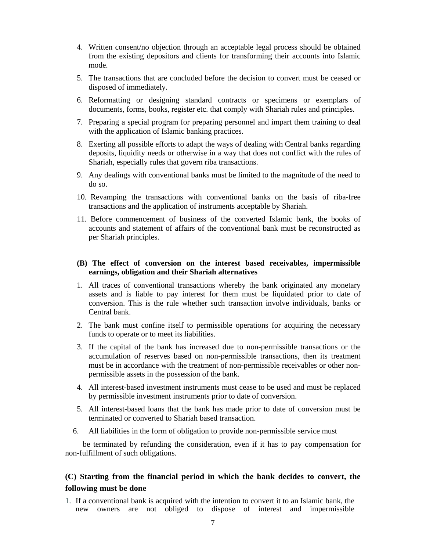- 4. Written consent/no objection through an acceptable legal process should be obtained from the existing depositors and clients for transforming their accounts into Islamic mode.
- 5. The transactions that are concluded before the decision to convert must be ceased or disposed of immediately.
- 6. Reformatting or designing standard contracts or specimens or exemplars of documents, forms, books, register etc. that comply with Shariah rules and principles.
- 7. Preparing a special program for preparing personnel and impart them training to deal with the application of Islamic banking practices.
- 8. Exerting all possible efforts to adapt the ways of dealing with Central banks regarding deposits, liquidity needs or otherwise in a way that does not conflict with the rules of Shariah, especially rules that govern riba transactions.
- 9. Any dealings with conventional banks must be limited to the magnitude of the need to do so.
- 10. Revamping the transactions with conventional banks on the basis of riba-free transactions and the application of instruments acceptable by Shariah.
- 11. Before commencement of business of the converted Islamic bank, the books of accounts and statement of affairs of the conventional bank must be reconstructed as per Shariah principles.

### **(B) The effect of conversion on the interest based receivables, impermissible earnings, obligation and their Shariah alternatives**

- 1. All traces of conventional transactions whereby the bank originated any monetary assets and is liable to pay interest for them must be liquidated prior to date of conversion. This is the rule whether such transaction involve individuals, banks or Central bank.
- 2. The bank must confine itself to permissible operations for acquiring the necessary funds to operate or to meet its liabilities.
- 3. If the capital of the bank has increased due to non-permissible transactions or the accumulation of reserves based on non-permissible transactions, then its treatment must be in accordance with the treatment of non-permissible receivables or other nonpermissible assets in the possession of the bank.
- 4. All interest-based investment instruments must cease to be used and must be replaced by permissible investment instruments prior to date of conversion.
- 5. All interest-based loans that the bank has made prior to date of conversion must be terminated or converted to Shariah based transaction.
- 6. All liabilities in the form of obligation to provide non-permissible service must

 be terminated by refunding the consideration, even if it has to pay compensation for non-fulfillment of such obligations.

# **(C) Starting from the financial period in which the bank decides to convert, the following must be done**

1. If a conventional bank is acquired with the intention to convert it to an Islamic bank, the new owners are not obliged to dispose of interest and impermissible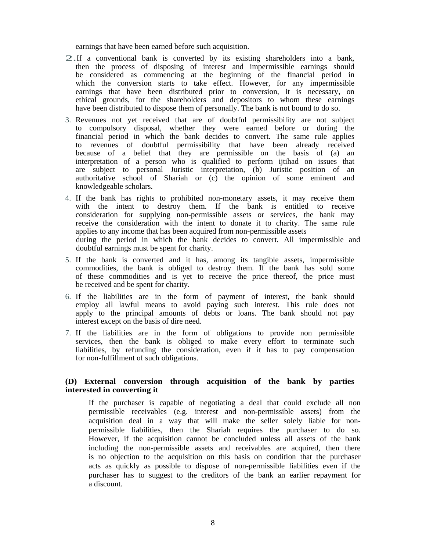earnings that have been earned before such acquisition.

- 2.If a conventional bank is converted by its existing shareholders into a bank, then the process of disposing of interest and impermissible earnings should be considered as commencing at the beginning of the financial period in which the conversion starts to take effect. However, for any impermissible earnings that have been distributed prior to conversion, it is necessary, on ethical grounds, for the shareholders and depositors to whom these earnings have been distributed to dispose them of personally. The bank is not bound to do so.
- 3. Revenues not yet received that are of doubtful permissibility are not subject to compulsory disposal, whether they were earned before or during the financial period in which the bank decides to convert. The same rule applies to revenues of doubtful permissibility that have been already received because of a belief that they are permissible on the basis of (a) an interpretation of a person who is qualified to perform ijtihad on issues that are subject to personal Juristic interpretation, (b) Juristic position of an authoritative school of Shariah or (c) the opinion of some eminent and knowledgeable scholars.
- 4. If the bank has rights to prohibited non-monetary assets, it may receive them with the intent to destroy them. If the bank is entitled to receive consideration for supplying non-permissible assets or services, the bank may receive the consideration with the intent to donate it to charity. The same rule applies to any income that has been acquired from non-permissible assets during the period in which the bank decides to convert. All impermissible and doubtful earnings must be spent for charity.
- 5. If the bank is converted and it has, among its tangible assets, impermissible commodities, the bank is obliged to destroy them. If the bank has sold some of these commodities and is yet to receive the price thereof, the price must be received and be spent for charity.
- 6. If the liabilities are in the form of payment of interest, the bank should employ all lawful means to avoid paying such interest. This rule does not apply to the principal amounts of debts or loans. The bank should not pay interest except on the basis of dire need.
- 7. If the liabilities are in the form of obligations to provide non permissible services, then the bank is obliged to make every effort to terminate such liabilities, by refunding the consideration, even if it has to pay compensation for non-fulfillment of such obligations.

#### **(D) External conversion through acquisition of the bank by parties interested in converting it**

 If the purchaser is capable of negotiating a deal that could exclude all non permissible receivables (e.g. interest and non-permissible assets) from the acquisition deal in a way that will make the seller solely liable for nonpermissible liabilities, then the Shariah requires the purchaser to do so. However, if the acquisition cannot be concluded unless all assets of the bank including the non-permissible assets and receivables are acquired, then there is no objection to the acquisition on this basis on condition that the purchaser acts as quickly as possible to dispose of non-permissible liabilities even if the purchaser has to suggest to the creditors of the bank an earlier repayment for a discount.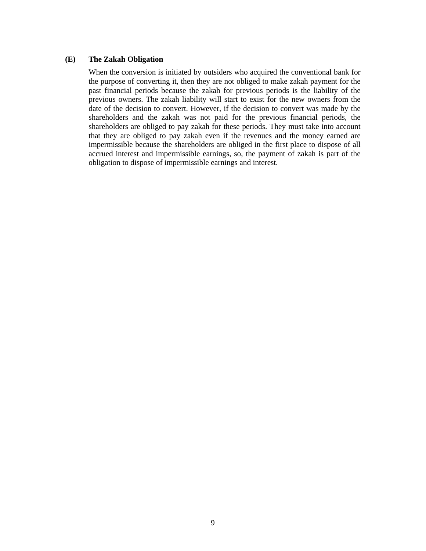#### **(E) The Zakah Obligation**

 When the conversion is initiated by outsiders who acquired the conventional bank for the purpose of converting it, then they are not obliged to make zakah payment for the past financial periods because the zakah for previous periods is the liability of the previous owners. The zakah liability will start to exist for the new owners from the date of the decision to convert. However, if the decision to convert was made by the shareholders and the zakah was not paid for the previous financial periods, the shareholders are obliged to pay zakah for these periods. They must take into account that they are obliged to pay zakah even if the revenues and the money earned are impermissible because the shareholders are obliged in the first place to dispose of all accrued interest and impermissible earnings, so, the payment of zakah is part of the obligation to dispose of impermissible earnings and interest.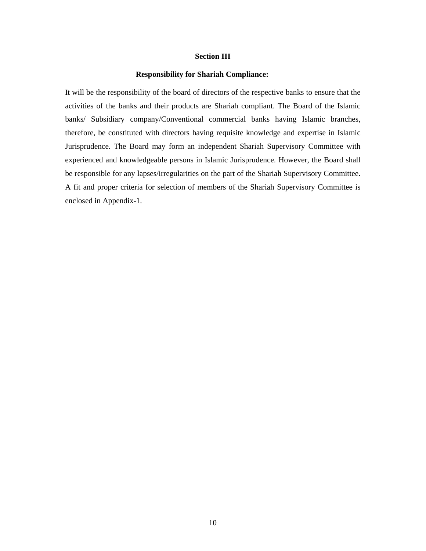#### **Section III**

#### **Responsibility for Shariah Compliance:**

It will be the responsibility of the board of directors of the respective banks to ensure that the activities of the banks and their products are Shariah compliant. The Board of the Islamic banks/ Subsidiary company/Conventional commercial banks having Islamic branches, therefore, be constituted with directors having requisite knowledge and expertise in Islamic Jurisprudence. The Board may form an independent Shariah Supervisory Committee with experienced and knowledgeable persons in Islamic Jurisprudence. However, the Board shall be responsible for any lapses/irregularities on the part of the Shariah Supervisory Committee. A fit and proper criteria for selection of members of the Shariah Supervisory Committee is enclosed in Appendix-1.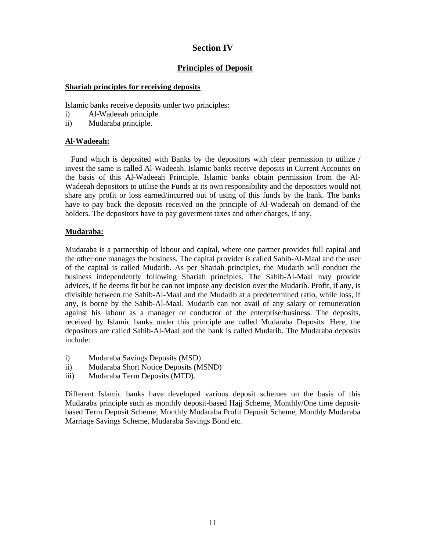# **Section IV**

# **Principles of Deposit**

### **Shariah principles for receiving deposits**

Islamic banks receive deposits under two principles:

- i) Al-Wadeeah principle.
- ii) Mudaraba principle.

# **Al-Wadeeah:**

 Fund which is deposited with Banks by the depositors with clear permission to utilize / invest the same is called Al-Wadeeah. Islamic banks receive deposits in Current Accounts on the basis of this Al-Wadeeah Principle. Islamic banks obtain permission from the Al-Wadeeah depositors to utilise the Funds at its own responsibility and the depositors would not share any profit or loss earned/incurred out of using of this funds by the bank. The banks have to pay back the deposits received on the principle of Al-Wadeeah on demand of the holders. The depositors have to pay goverment taxes and other charges, if any.

# **Mudaraba:**

Mudaraba is a partnership of labour and capital, where one partner provides full capital and the other one manages the business. The capital provider is called Sahib-Al-Maal and the user of the capital is called Mudarib. As per Shariah principles, the Mudarib will conduct the business independently following Shariah principles. The Sahib-Al-Maal may provide advices, if he deems fit but he can not impose any decision over the Mudarib. Profit, if any, is divisible between the Sahib-Al-Maal and the Mudarib at a predetermined ratio, while loss, if any, is borne by the Sahib-Al-Maal. Mudarib can not avail of any salary or remuneration against his labour as a manager or conductor of the enterprise/business. The deposits, received by Islamic banks under this principle are called Mudaraba Deposits. Here, the depositors are called Sahib-Al-Maal and the bank is called Mudarib. The Mudaraba deposits include:

- i) Mudaraba Savings Deposits (MSD)
- ii) Mudaraba Short Notice Deposits (MSND)
- iii) Mudaraba Term Deposits (MTD).

Different Islamic banks have developed various deposit schemes on the basis of this Mudaraba principle such as monthly deposit-based Hajj Scheme, Monthly/One time depositbased Term Deposit Scheme, Monthly Mudaraba Profit Deposit Scheme, Monthly Mudaraba Marriage Savings Scheme, Mudaraba Savings Bond etc.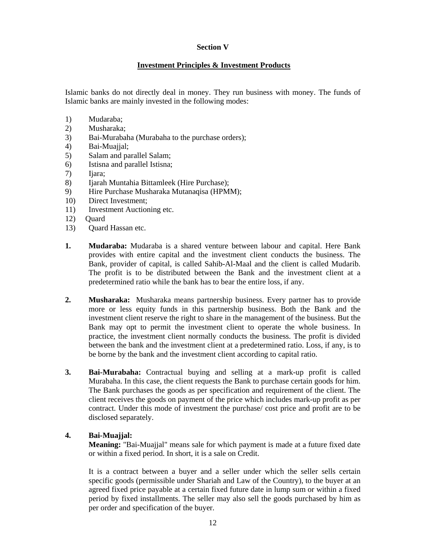# **Section V**

# **Investment Principles & Investment Products**

Islamic banks do not directly deal in money. They run business with money. The funds of Islamic banks are mainly invested in the following modes:

- 1) Mudaraba;
- 2) Musharaka;
- 3) Bai-Murabaha (Murabaha to the purchase orders);
- 4) Bai-Muajjal;
- 5) Salam and parallel Salam;
- 6) Istisna and parallel Istisna;
- 7) Ijara;
- 8) Ijarah Muntahia Bittamleek (Hire Purchase);
- 9) Hire Purchase Musharaka Mutanaqisa (HPMM);
- 10) Direct Investment;
- 11) Investment Auctioning etc.
- 12) Quard
- 13) Quard Hassan etc.
- **1. Mudaraba:** Mudaraba is a shared venture between labour and capital. Here Bank provides with entire capital and the investment client conducts the business. The Bank, provider of capital, is called Sahib-Al-Maal and the client is called Mudarib. The profit is to be distributed between the Bank and the investment client at a predetermined ratio while the bank has to bear the entire loss, if any.
- **2. Musharaka:** Musharaka means partnership business. Every partner has to provide more or less equity funds in this partnership business. Both the Bank and the investment client reserve the right to share in the management of the business. But the Bank may opt to permit the investment client to operate the whole business. In practice, the investment client normally conducts the business. The profit is divided between the bank and the investment client at a predetermined ratio. Loss, if any, is to be borne by the bank and the investment client according to capital ratio.
- **3. Bai-Murabaha:** Contractual buying and selling at a mark-up profit is called Murabaha. In this case, the client requests the Bank to purchase certain goods for him. The Bank purchases the goods as per specification and requirement of the client. The client receives the goods on payment of the price which includes mark-up profit as per contract. Under this mode of investment the purchase/ cost price and profit are to be disclosed separately.

# **4. Bai-Muajjal:**

**Meaning:** "Bai-Muajjal" means sale for which payment is made at a future fixed date or within a fixed period. In short, it is a sale on Credit.

 It is a contract between a buyer and a seller under which the seller sells certain specific goods (permissible under Shariah and Law of the Country), to the buyer at an agreed fixed price payable at a certain fixed future date in lump sum or within a fixed period by fixed installments. The seller may also sell the goods purchased by him as per order and specification of the buyer.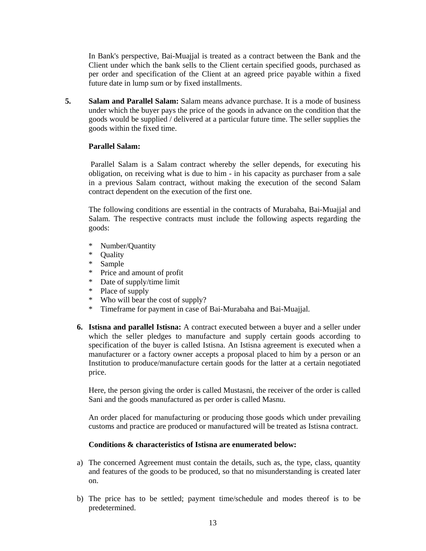In Bank's perspective, Bai-Muajjal is treated as a contract between the Bank and the Client under which the bank sells to the Client certain specified goods, purchased as per order and specification of the Client at an agreed price payable within a fixed future date in lump sum or by fixed installments.

**5. Salam and Parallel Salam:** Salam means advance purchase. It is a mode of business under which the buyer pays the price of the goods in advance on the condition that the goods would be supplied / delivered at a particular future time. The seller supplies the goods within the fixed time.

#### **Parallel Salam:**

Parallel Salam is a Salam contract whereby the seller depends, for executing his obligation, on receiving what is due to him - in his capacity as purchaser from a sale in a previous Salam contract, without making the execution of the second Salam contract dependent on the execution of the first one.

 The following conditions are essential in the contracts of Murabaha, Bai-Muajjal and Salam. The respective contracts must include the following aspects regarding the goods:

- \* Number/Quantity<br>\* Ouality
- **Ouality**
- \* Sample
- \* Price and amount of profit
- \* Date of supply/time limit
- \* Place of supply
- \* Who will bear the cost of supply?
- \* Timeframe for payment in case of Bai-Murabaha and Bai-Muajjal.
- **6. Istisna and parallel Istisna:** A contract executed between a buyer and a seller under which the seller pledges to manufacture and supply certain goods according to specification of the buyer is called Istisna. An Istisna agreement is executed when a manufacturer or a factory owner accepts a proposal placed to him by a person or an Institution to produce/manufacture certain goods for the latter at a certain negotiated price.

 Here, the person giving the order is called Mustasni, the receiver of the order is called Sani and the goods manufactured as per order is called Masnu.

 An order placed for manufacturing or producing those goods which under prevailing customs and practice are produced or manufactured will be treated as Istisna contract.

#### **Conditions & characteristics of Istisna are enumerated below:**

- a) The concerned Agreement must contain the details, such as, the type, class, quantity and features of the goods to be produced, so that no misunderstanding is created later on.
- b) The price has to be settled; payment time/schedule and modes thereof is to be predetermined.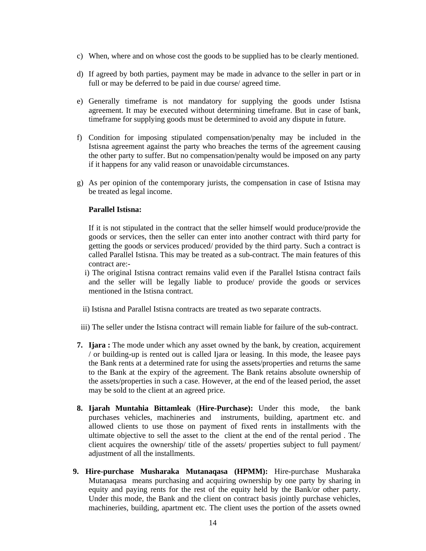- c) When, where and on whose cost the goods to be supplied has to be clearly mentioned.
- d) If agreed by both parties, payment may be made in advance to the seller in part or in full or may be deferred to be paid in due course/ agreed time.
- e) Generally timeframe is not mandatory for supplying the goods under Istisna agreement. It may be executed without determining timeframe. But in case of bank, timeframe for supplying goods must be determined to avoid any dispute in future.
- f) Condition for imposing stipulated compensation/penalty may be included in the Istisna agreement against the party who breaches the terms of the agreement causing the other party to suffer. But no compensation/penalty would be imposed on any party if it happens for any valid reason or unavoidable circumstances.
- g) As per opinion of the contemporary jurists, the compensation in case of Istisna may be treated as legal income.

#### **Parallel Istisna:**

 If it is not stipulated in the contract that the seller himself would produce/provide the goods or services, then the seller can enter into another contract with third party for getting the goods or services produced/ provided by the third party. Such a contract is called Parallel Istisna. This may be treated as a sub-contract. The main features of this contract are:-

- i) The original Istisna contract remains valid even if the Parallel Istisna contract fails and the seller will be legally liable to produce/ provide the goods or services mentioned in the Istisna contract.
- ii) Istisna and Parallel Istisna contracts are treated as two separate contracts.
- iii) The seller under the Istisna contract will remain liable for failure of the sub-contract.
- **7. Ijara :** The mode under which any asset owned by the bank, by creation, acquirement / or building-up is rented out is called Ijara or leasing. In this mode, the leasee pays the Bank rents at a determined rate for using the assets/properties and returns the same to the Bank at the expiry of the agreement. The Bank retains absolute ownership of the assets/properties in such a case. However, at the end of the leased period, the asset may be sold to the client at an agreed price.
- **8. Ijarah Muntahia Bittamleak** (**Hire-Purchase):** Under this mode, the bank purchases vehicles, machineries and instruments, building, apartment etc. and allowed clients to use those on payment of fixed rents in installments with the ultimate objective to sell the asset to the client at the end of the rental period . The client acquires the ownership/ title of the assets/ properties subject to full payment/ adjustment of all the installments.
- **9. Hire-purchase Musharaka Mutanaqasa (HPMM):** Hire-purchase Musharaka Mutanaqasa means purchasing and acquiring ownership by one party by sharing in equity and paying rents for the rest of the equity held by the Bank/or other party. Under this mode, the Bank and the client on contract basis jointly purchase vehicles, machineries, building, apartment etc. The client uses the portion of the assets owned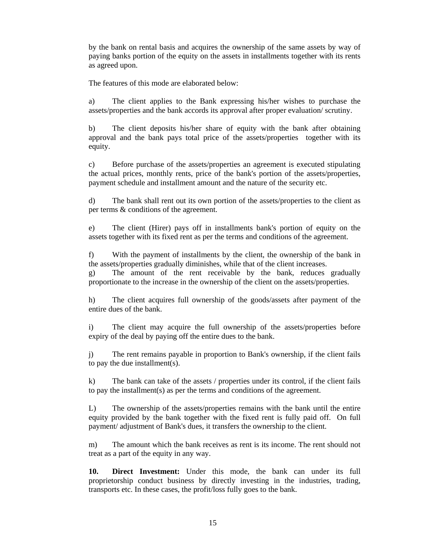by the bank on rental basis and acquires the ownership of the same assets by way of paying banks portion of the equity on the assets in installments together with its rents as agreed upon.

The features of this mode are elaborated below:

 a) The client applies to the Bank expressing his/her wishes to purchase the assets/properties and the bank accords its approval after proper evaluation/ scrutiny.

 b) The client deposits his/her share of equity with the bank after obtaining approval and the bank pays total price of the assets/properties together with its equity.

 c) Before purchase of the assets/properties an agreement is executed stipulating the actual prices, monthly rents, price of the bank's portion of the assets/properties, payment schedule and installment amount and the nature of the security etc.

 d) The bank shall rent out its own portion of the assets/properties to the client as per terms & conditions of the agreement.

 e) The client (Hirer) pays off in installments bank's portion of equity on the assets together with its fixed rent as per the terms and conditions of the agreement.

 f) With the payment of installments by the client, the ownership of the bank in the assets/properties gradually diminishes, while that of the client increases. g) The amount of the rent receivable by the bank, reduces gradually

proportionate to the increase in the ownership of the client on the assets/properties.

 h) The client acquires full ownership of the goods/assets after payment of the entire dues of the bank.

 i) The client may acquire the full ownership of the assets/properties before expiry of the deal by paying off the entire dues to the bank.

 j) The rent remains payable in proportion to Bank's ownership, if the client fails to pay the due installment(s).

 k) The bank can take of the assets / properties under its control, if the client fails to pay the installment(s) as per the terms and conditions of the agreement.

 L) The ownership of the assets/properties remains with the bank until the entire equity provided by the bank together with the fixed rent is fully paid off. On full payment/ adjustment of Bank's dues, it transfers the ownership to the client.

 m) The amount which the bank receives as rent is its income. The rent should not treat as a part of the equity in any way.

 **10. Direct Investment:** Under this mode, the bank can under its full proprietorship conduct business by directly investing in the industries, trading, transports etc. In these cases, the profit/loss fully goes to the bank.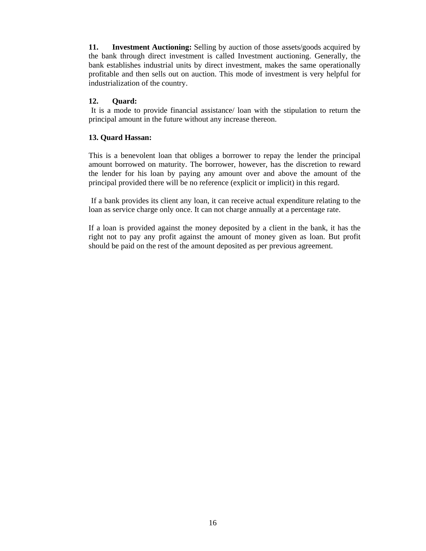**11. Investment Auctioning:** Selling by auction of those assets/goods acquired by the bank through direct investment is called Investment auctioning. Generally, the bank establishes industrial units by direct investment, makes the same operationally profitable and then sells out on auction. This mode of investment is very helpful for industrialization of the country.

# **12. Quard:**

It is a mode to provide financial assistance/ loan with the stipulation to return the principal amount in the future without any increase thereon.

# **13. Quard Hassan:**

This is a benevolent loan that obliges a borrower to repay the lender the principal amount borrowed on maturity. The borrower, however, has the discretion to reward the lender for his loan by paying any amount over and above the amount of the principal provided there will be no reference (explicit or implicit) in this regard.

If a bank provides its client any loan, it can receive actual expenditure relating to the loan as service charge only once. It can not charge annually at a percentage rate.

If a loan is provided against the money deposited by a client in the bank, it has the right not to pay any profit against the amount of money given as loan. But profit should be paid on the rest of the amount deposited as per previous agreement.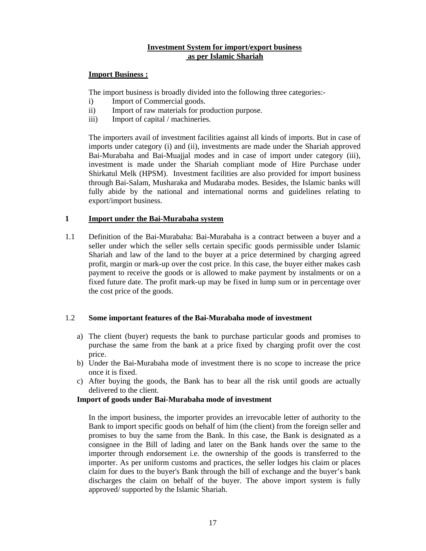# **Investment System for import/export business as per Islamic Shariah**

# **Import Business :**

The import business is broadly divided into the following three categories:-

- i) Import of Commercial goods.
- ii) Import of raw materials for production purpose.
- iii) Import of capital / machineries.

The importers avail of investment facilities against all kinds of imports. But in case of imports under category (i) and (ii), investments are made under the Shariah approved Bai-Murabaha and Bai-Muajjal modes and in case of import under category (iii), investment is made under the Shariah compliant mode of Hire Purchase under Shirkatul Melk (HPSM). Investment facilities are also provided for import business through Bai-Salam, Musharaka and Mudaraba modes. Besides, the Islamic banks will fully abide by the national and international norms and guidelines relating to export/import business.

# **1 Import under the Bai-Murabaha system**

1.1 Definition of the Bai-Murabaha: Bai-Murabaha is a contract between a buyer and a seller under which the seller sells certain specific goods permissible under Islamic Shariah and law of the land to the buyer at a price determined by charging agreed profit, margin or mark-up over the cost price. In this case, the buyer either makes cash payment to receive the goods or is allowed to make payment by instalments or on a fixed future date. The profit mark-up may be fixed in lump sum or in percentage over the cost price of the goods.

# 1.2 **Some important features of the Bai-Murabaha mode of investment**

- a) The client (buyer) requests the bank to purchase particular goods and promises to purchase the same from the bank at a price fixed by charging profit over the cost price.
- b) Under the Bai-Murabaha mode of investment there is no scope to increase the price once it is fixed.
- c) After buying the goods, the Bank has to bear all the risk until goods are actually delivered to the client.

### **Import of goods under Bai-Murabaha mode of investment**

In the import business, the importer provides an irrevocable letter of authority to the Bank to import specific goods on behalf of him (the client) from the foreign seller and promises to buy the same from the Bank. In this case, the Bank is designated as a consignee in the Bill of lading and later on the Bank hands over the same to the importer through endorsement i.e. the ownership of the goods is transferred to the importer. As per uniform customs and practices, the seller lodges his claim or places claim for dues to the buyer's Bank through the bill of exchange and the buyer's bank discharges the claim on behalf of the buyer. The above import system is fully approved/ supported by the Islamic Shariah.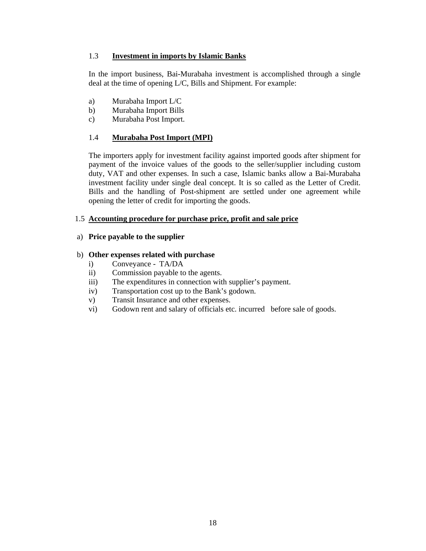# 1.3 **Investment in imports by Islamic Banks**

In the import business, Bai-Murabaha investment is accomplished through a single deal at the time of opening L/C, Bills and Shipment. For example:

- a) Murabaha Import L/C
- b) Murabaha Import Bills
- c) Murabaha Post Import.

# 1.4 **Murabaha Post Import (MPI)**

The importers apply for investment facility against imported goods after shipment for payment of the invoice values of the goods to the seller/supplier including custom duty, VAT and other expenses. In such a case, Islamic banks allow a Bai-Murabaha investment facility under single deal concept. It is so called as the Letter of Credit. Bills and the handling of Post-shipment are settled under one agreement while opening the letter of credit for importing the goods.

# 1.5 **Accounting procedure for purchase price, profit and sale price**

# a) **Price payable to the supplier**

# b) **Other expenses related with purchase**

- i) Conveyance TA/DA
- ii) Commission payable to the agents.
- iii) The expenditures in connection with supplier's payment.
- iv) Transportation cost up to the Bank's godown.
- v) Transit Insurance and other expenses.
- vi) Godown rent and salary of officials etc. incurred before sale of goods.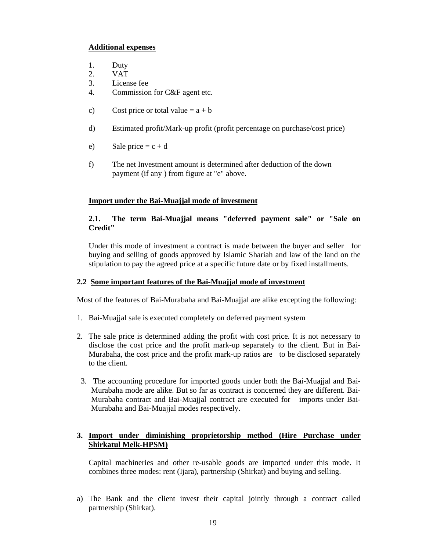# **Additional expenses**

- 1. Duty
- 2. VAT
- 3. License fee
- 4. Commission for C&F agent etc.
- c) Cost price or total value  $= a + b$
- d) Estimated profit/Mark-up profit (profit percentage on purchase/cost price)
- e) Sale price  $=c + d$
- f) The net Investment amount is determined after deduction of the down payment (if any ) from figure at "e" above.

# **Import under the Bai-Muajjal mode of investment**

# **2.1. The term Bai-Muajjal means "deferred payment sale" or "Sale on Credit"**

 Under this mode of investment a contract is made between the buyer and seller for buying and selling of goods approved by Islamic Shariah and law of the land on the stipulation to pay the agreed price at a specific future date or by fixed installments.

### **2.2 Some important features of the Bai-Muajjal mode of investment**

Most of the features of Bai-Murabaha and Bai-Muajjal are alike excepting the following:

- 1. Bai-Muajjal sale is executed completely on deferred payment system
- 2. The sale price is determined adding the profit with cost price. It is not necessary to disclose the cost price and the profit mark-up separately to the client. But in Bai-Murabaha, the cost price and the profit mark-up ratios are to be disclosed separately to the client.
- 3. The accounting procedure for imported goods under both the Bai-Muajjal and Bai-Murabaha mode are alike. But so far as contract is concerned they are different. Bai-Murabaha contract and Bai-Muajjal contract are executed for imports under Bai-Murabaha and Bai-Muajjal modes respectively.

# **3. Import under diminishing proprietorship method (Hire Purchase under Shirkatul Melk-HPSM)**

Capital machineries and other re-usable goods are imported under this mode. It combines three modes: rent (Ijara), partnership (Shirkat) and buying and selling.

 a) The Bank and the client invest their capital jointly through a contract called partnership (Shirkat).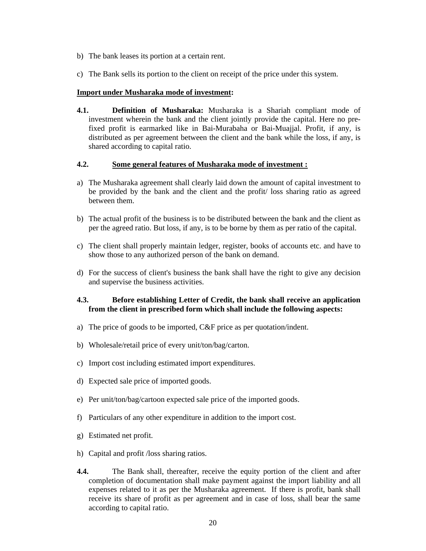- b) The bank leases its portion at a certain rent.
- c) The Bank sells its portion to the client on receipt of the price under this system.

#### **Import under Musharaka mode of investment:**

 **4.1. Definition of Musharaka:** Musharaka is a Shariah compliant mode of investment wherein the bank and the client jointly provide the capital. Here no prefixed profit is earmarked like in Bai-Murabaha or Bai-Muajjal. Profit, if any, is distributed as per agreement between the client and the bank while the loss, if any, is shared according to capital ratio.

#### **4.2. Some general features of Musharaka mode of investment :**

- a) The Musharaka agreement shall clearly laid down the amount of capital investment to be provided by the bank and the client and the profit/ loss sharing ratio as agreed between them.
- b) The actual profit of the business is to be distributed between the bank and the client as per the agreed ratio. But loss, if any, is to be borne by them as per ratio of the capital.
- c) The client shall properly maintain ledger, register, books of accounts etc. and have to show those to any authorized person of the bank on demand.
- d) For the success of client's business the bank shall have the right to give any decision and supervise the business activities.

# **4.3. Before establishing Letter of Credit, the bank shall receive an application from the client in prescribed form which shall include the following aspects:**

- a) The price of goods to be imported, C&F price as per quotation/indent.
- b) Wholesale/retail price of every unit/ton/bag/carton.
- c) Import cost including estimated import expenditures.
- d) Expected sale price of imported goods.
- e) Per unit/ton/bag/cartoon expected sale price of the imported goods.
- f) Particulars of any other expenditure in addition to the import cost.
- g) Estimated net profit.
- h) Capital and profit /loss sharing ratios.
- **4.4.** The Bank shall, thereafter, receive the equity portion of the client and after completion of documentation shall make payment against the import liability and all expenses related to it as per the Musharaka agreement. If there is profit, bank shall receive its share of profit as per agreement and in case of loss, shall bear the same according to capital ratio.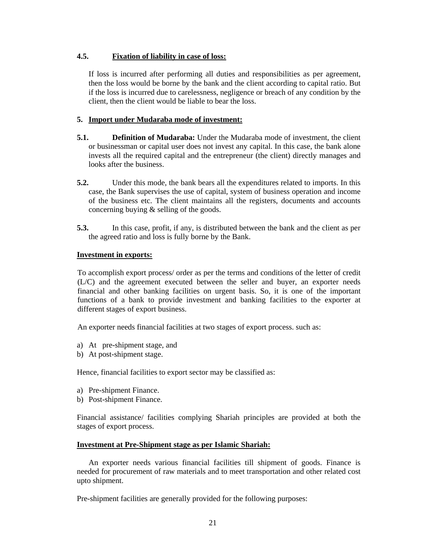# **4.5. Fixation of liability in case of loss:**

 If loss is incurred after performing all duties and responsibilities as per agreement, then the loss would be borne by the bank and the client according to capital ratio. But if the loss is incurred due to carelessness, negligence or breach of any condition by the client, then the client would be liable to bear the loss.

# **5. Import under Mudaraba mode of investment:**

- **5.1. Definition of Mudaraba:** Under the Mudaraba mode of investment, the client or businessman or capital user does not invest any capital. In this case, the bank alone invests all the required capital and the entrepreneur (the client) directly manages and looks after the business.
- **5.2.** Under this mode, the bank bears all the expenditures related to imports. In this case, the Bank supervises the use of capital, system of business operation and income of the business etc. The client maintains all the registers, documents and accounts concerning buying & selling of the goods.
- **5.3.** In this case, profit, if any, is distributed between the bank and the client as per the agreed ratio and loss is fully borne by the Bank.

### **Investment in exports:**

To accomplish export process/ order as per the terms and conditions of the letter of credit (L/C) and the agreement executed between the seller and buyer, an exporter needs financial and other banking facilities on urgent basis. So, it is one of the important functions of a bank to provide investment and banking facilities to the exporter at different stages of export business.

An exporter needs financial facilities at two stages of export process. such as:

- a) At pre-shipment stage, and
- b) At post-shipment stage.

Hence, financial facilities to export sector may be classified as:

- a) Pre-shipment Finance.
- b) Post-shipment Finance.

Financial assistance/ facilities complying Shariah principles are provided at both the stages of export process.

### **Investment at Pre-Shipment stage as per Islamic Shariah:**

 An exporter needs various financial facilities till shipment of goods. Finance is needed for procurement of raw materials and to meet transportation and other related cost upto shipment.

Pre-shipment facilities are generally provided for the following purposes: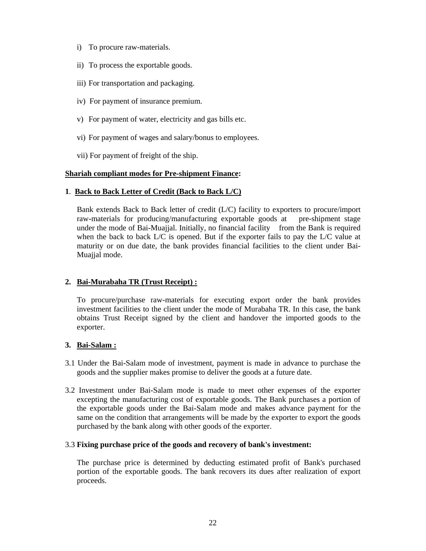- i) To procure raw-materials.
- ii) To process the exportable goods.
- iii) For transportation and packaging.
- iv) For payment of insurance premium.
- v) For payment of water, electricity and gas bills etc.
- vi) For payment of wages and salary/bonus to employees.
- vii) For payment of freight of the ship.

# **Shariah compliant modes for Pre-shipment Finance:**

# **1**. **Back to Back Letter of Credit (Back to Back L/C)**

 Bank extends Back to Back letter of credit (L/C) facility to exporters to procure/import raw-materials for producing/manufacturing exportable goods at pre-shipment stage under the mode of Bai-Muajjal. Initially, no financial facility from the Bank is required when the back to back  $L/C$  is opened. But if the exporter fails to pay the  $L/C$  value at maturity or on due date, the bank provides financial facilities to the client under Bai-Muajial mode.

# **2. Bai-Murabaha TR (Trust Receipt) :**

 To procure/purchase raw-materials for executing export order the bank provides investment facilities to the client under the mode of Murabaha TR. In this case, the bank obtains Trust Receipt signed by the client and handover the imported goods to the exporter.

### **3. Bai-Salam :**

- 3.1 Under the Bai-Salam mode of investment, payment is made in advance to purchase the goods and the supplier makes promise to deliver the goods at a future date.
- 3.2 Investment under Bai-Salam mode is made to meet other expenses of the exporter excepting the manufacturing cost of exportable goods. The Bank purchases a portion of the exportable goods under the Bai-Salam mode and makes advance payment for the same on the condition that arrangements will be made by the exporter to export the goods purchased by the bank along with other goods of the exporter.

### 3.3 **Fixing purchase price of the goods and recovery of bank's investment:**

 The purchase price is determined by deducting estimated profit of Bank's purchased portion of the exportable goods. The bank recovers its dues after realization of export proceeds.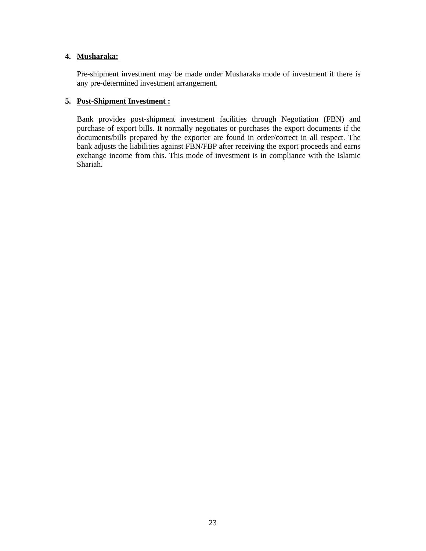# **4. Musharaka:**

Pre-shipment investment may be made under Musharaka mode of investment if there is any pre-determined investment arrangement.

# **5. Post-Shipment Investment :**

 Bank provides post-shipment investment facilities through Negotiation (FBN) and purchase of export bills. It normally negotiates or purchases the export documents if the documents/bills prepared by the exporter are found in order/correct in all respect. The bank adjusts the liabilities against FBN/FBP after receiving the export proceeds and earns exchange income from this. This mode of investment is in compliance with the Islamic Shariah.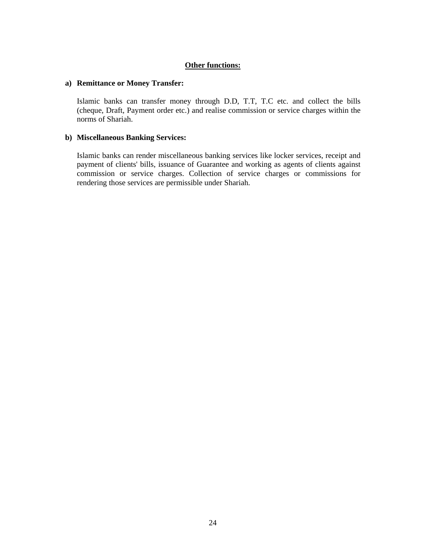# **Other functions:**

#### **a) Remittance or Money Transfer:**

 Islamic banks can transfer money through D.D, T.T, T.C etc. and collect the bills (cheque, Draft, Payment order etc.) and realise commission or service charges within the norms of Shariah.

# **b) Miscellaneous Banking Services:**

 Islamic banks can render miscellaneous banking services like locker services, receipt and payment of clients' bills, issuance of Guarantee and working as agents of clients against commission or service charges. Collection of service charges or commissions for rendering those services are permissible under Shariah.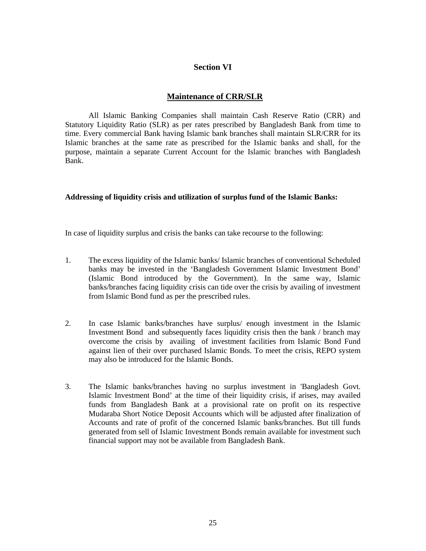# **Section VI**

# **Maintenance of CRR/SLR**

All Islamic Banking Companies shall maintain Cash Reserve Ratio (CRR) and Statutory Liquidity Ratio (SLR) as per rates prescribed by Bangladesh Bank from time to time. Every commercial Bank having Islamic bank branches shall maintain SLR/CRR for its Islamic branches at the same rate as prescribed for the Islamic banks and shall, for the purpose, maintain a separate Current Account for the Islamic branches with Bangladesh Bank.

### **Addressing of liquidity crisis and utilization of surplus fund of the Islamic Banks:**

In case of liquidity surplus and crisis the banks can take recourse to the following:

- 1. The excess liquidity of the Islamic banks/ Islamic branches of conventional Scheduled banks may be invested in the 'Bangladesh Government Islamic Investment Bond' (Islamic Bond introduced by the Government). In the same way, Islamic banks/branches facing liquidity crisis can tide over the crisis by availing of investment from Islamic Bond fund as per the prescribed rules.
- 2. In case Islamic banks/branches have surplus/ enough investment in the Islamic Investment Bond and subsequently faces liquidity crisis then the bank / branch may overcome the crisis by availing of investment facilities from Islamic Bond Fund against lien of their over purchased Islamic Bonds. To meet the crisis, REPO system may also be introduced for the Islamic Bonds.
- 3. The Islamic banks/branches having no surplus investment in 'Bangladesh Govt. Islamic Investment Bond' at the time of their liquidity crisis, if arises, may availed funds from Bangladesh Bank at a provisional rate on profit on its respective Mudaraba Short Notice Deposit Accounts which will be adjusted after finalization of Accounts and rate of profit of the concerned Islamic banks/branches. But till funds generated from sell of Islamic Investment Bonds remain available for investment such financial support may not be available from Bangladesh Bank.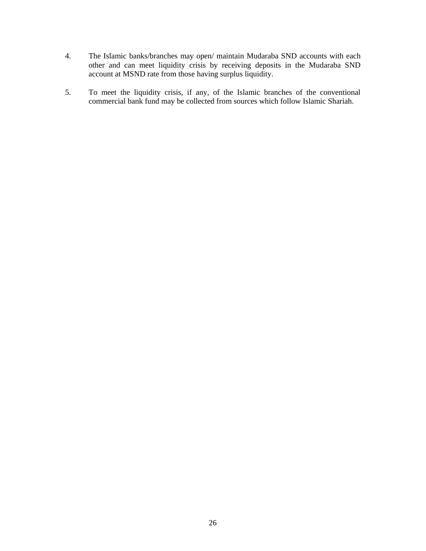- 4. The Islamic banks/branches may open/ maintain Mudaraba SND accounts with each other and can meet liquidity crisis by receiving deposits in the Mudaraba SND account at MSND rate from those having surplus liquidity.
- 5. To meet the liquidity crisis, if any, of the Islamic branches of the conventional commercial bank fund may be collected from sources which follow Islamic Shariah.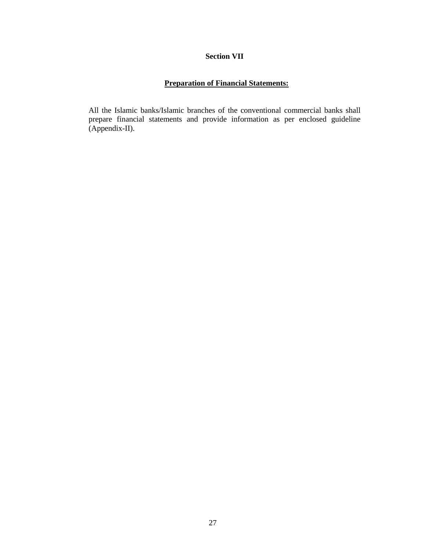### **Section VII**

# **Preparation of Financial Statements:**

All the Islamic banks/Islamic branches of the conventional commercial banks shall prepare financial statements and provide information as per enclosed guideline (Appendix-II).